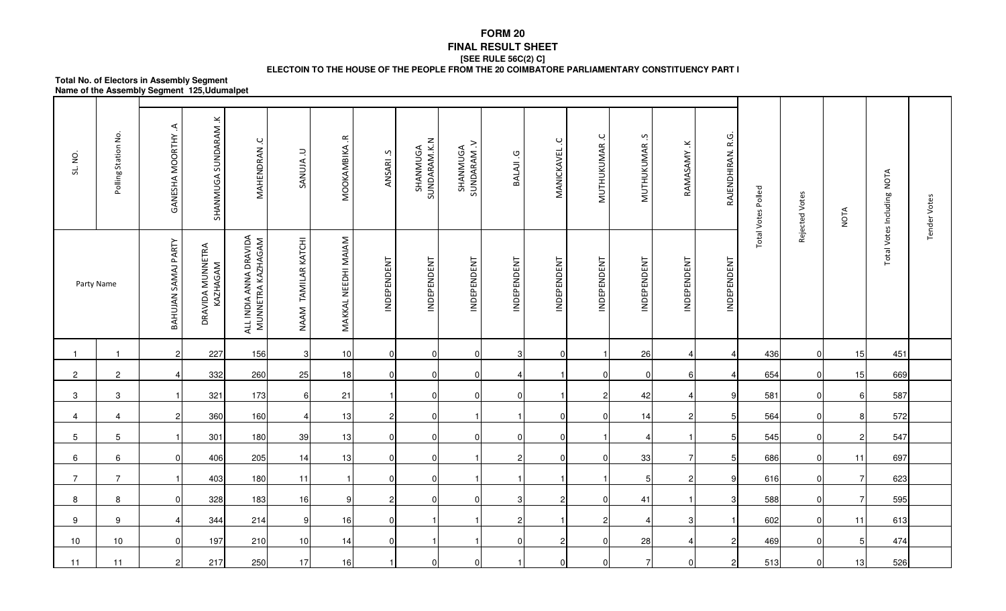## **FORM 20 FINAL RESULT SHEET[SEE RULE 56C(2) C] ELECTOIN TO THE HOUSE OF THE PEOPLE FROM THE 20 COIMBATORE PARLIAMENTARY CONSTITUENCY PART I**

## **Name of the Assembly Segment 125,UdumalpetTotal No. of Electors in Assembly Segment**

| SL. NO.        | Polling Station No. | GANESHA MOORTHY .A  | SHANMUGA SUNDARAM .K         | ب<br>MAHENDRAN                              | $\supseteq$<br>SANUJA. | MOOKAMBIKA .R       | ANSARI.S       | SHANMUGA<br>SUNDARAM.K.N | SHANMUGA<br>SUNDARAM .V | BALAJI.G       | MANICKAVEL.C   | ب<br>MUTHUKUMAR | ب<br>ب<br>MUTHUKUMAR | ¥.<br>RAMASAMY | RAJENDHIRAN. R.G | <b>Total Votes Polled</b> | Rejected Votes | <b>NOTA</b>    | Total Votes Including NOTA | <b>Tender Votes</b> |
|----------------|---------------------|---------------------|------------------------------|---------------------------------------------|------------------------|---------------------|----------------|--------------------------|-------------------------|----------------|----------------|-----------------|----------------------|----------------|------------------|---------------------------|----------------|----------------|----------------------------|---------------------|
| Party Name     |                     | BAHUJAN SAMAJ PARTY | DRAVIDA MUNNETRA<br>KAZHAGAM | ALL INDIA ANNA DRAVIDA<br>MUNNETRA KAZHAGAM | NAAM TAMILAR KATCHI    | MAKKAL NEEDHI MAIAM | INDEPENDENT    | <b>INDEPENDENT</b>       | INDEPENDENT             | INDEPENDENT    | INDEPENDENT    | INDEPENDENT     | INDEPENDENT          | INDEPENDENT    | INDEPENDENT      |                           |                |                |                            |                     |
|                | $\overline{1}$      | $\mathcal{P}$       | 227                          | 156                                         | 3                      | 10                  | $\pmb{0}$      | $\Omega$                 | $\Omega$                | $\mathbf{3}$   | $\Omega$       |                 | 26                   |                | $\overline{4}$   | 436                       | $\sqrt{ }$     | 15             | 451                        |                     |
| $\overline{2}$ | $\overline{2}$      |                     | 332                          | 260                                         | 25                     | 18                  | 0              | $\Omega$                 | ΩI                      |                |                | U               | $\overline{0}$       | 6              | 4                | 654                       | 0              | 15             | 669                        |                     |
| 3              | 3                   |                     | 321                          | 173                                         | 6                      | 21                  | -1             | $\Omega$                 | $\Omega$                | $\Omega$       |                | $\mathbf{2}$    | 42                   | 4              | 9                | 581                       | 0              | 6              | 587                        |                     |
| 4              | 4                   |                     | 360                          | 160                                         | 4                      | 13                  | $\sqrt{2}$     | $\Omega$                 |                         |                | $\overline{0}$ | $\Omega$        | 14                   | $\overline{2}$ | 5                | 564                       | $\sqrt{ }$     | 8 <sup>1</sup> | 572                        |                     |
| 5 <sup>5</sup> | $5\phantom{.0}$     |                     | 301                          | 180                                         | 39                     | 13                  | $\mathbf 0$    | $\Omega$                 | $\Omega$                | $\Omega$       | $\Omega$       |                 |                      |                | 5                | 545                       | $\Omega$       |                | 547                        |                     |
| 6              | $\,6\,$             | ∩                   | 406                          | 205                                         | 14                     | 13                  | $\mathbf 0$    | $\Omega$                 |                         | $\overline{2}$ | $\Omega$       | $\Omega$        | 33                   | 7              | 5                | 686                       | $\Omega$       | 11             | 697                        |                     |
| $\overline{7}$ | $\overline{7}$      |                     | 403                          | 180                                         | 11                     |                     | $\mathbf 0$    | $\Omega$                 |                         |                |                |                 | $5 \,$               | $\overline{2}$ | 9                | 616                       | $\Omega$       | 7              | 623                        |                     |
| 8              | 8                   | U                   | 328                          | 183                                         | 16                     | 9                   | $\overline{2}$ |                          | $\Omega$                | 3              | $\overline{2}$ | $\Omega$        | 41                   |                | $\mathbf{3}$     | 588                       | $\cup$         |                | 595                        |                     |
| 9              | 9                   |                     | 344                          | 214                                         | 9                      | 16                  | $\mathbf 0$    |                          |                         | $\overline{2}$ |                | $2 \vert$       | 4                    | 3              | $\mathbf 1$      | 602                       | $\Omega$       | 11             | 613                        |                     |
| 10             | 10                  | U                   | 197                          | 210                                         | 10                     | 14                  | $\mathbf 0$    |                          |                         | $\Omega$       | $2 \mid$       | $\Omega$        | 28                   | 4              | $\overline{c}$   | 469                       | $\sqrt{ }$     | 5 <sup>1</sup> | 474                        |                     |
| 11             | 11                  |                     | 217                          | 250                                         | 17                     | 16                  | $\mathbf{1}$   | $\Omega$                 | 01                      |                | $\overline{0}$ | $\Omega$        | $\overline{7}$       | $\overline{0}$ | $\overline{c}$   | 513                       | $\Omega$       | 13             | 526                        |                     |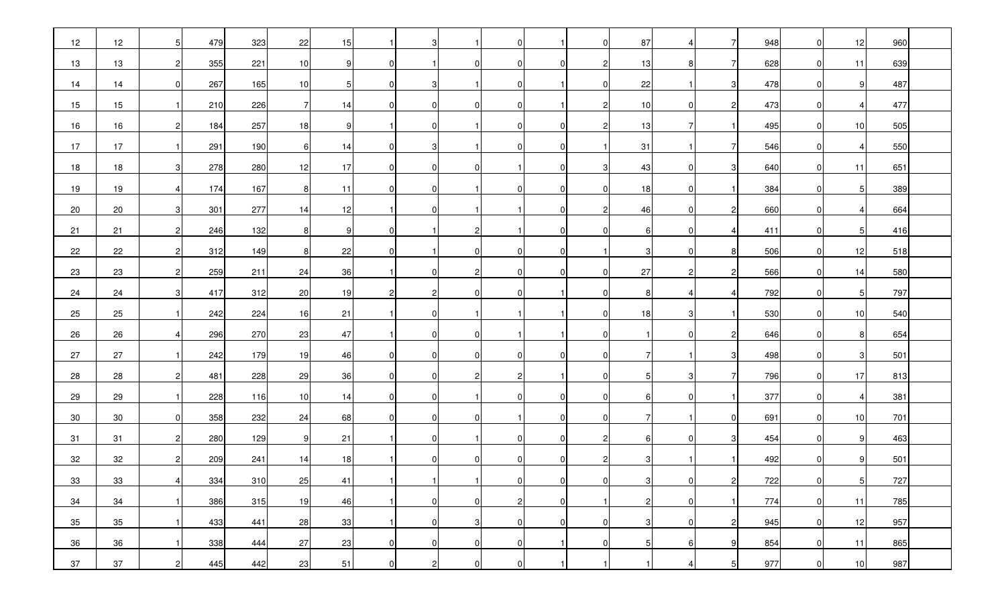| 12              | 12 | 5                | 479 | 323 | 22              | 15 | -1             | 3              | -1             |          |                | $\overline{0}$ | 87             | Δ              | $\overline{7}$ | 948 | $\overline{0}$ | 12                       | 960 |  |
|-----------------|----|------------------|-----|-----|-----------------|----|----------------|----------------|----------------|----------|----------------|----------------|----------------|----------------|----------------|-----|----------------|--------------------------|-----|--|
| 13              | 13 | $\mathbf{2}$     | 355 | 221 | 10              | 9  | $\overline{0}$ |                | $\Omega$       |          | $\overline{0}$ | $\overline{2}$ | 13             | 8              | 7              | 628 | $\overline{0}$ | 11                       | 639 |  |
| 14              | 14 | $\overline{0}$   | 267 | 165 | 10              | 5  | $\overline{0}$ | 31             | -1 I           | 0.       |                | $\overline{0}$ | 22             |                | 3              | 478 | $\overline{0}$ | 9                        | 487 |  |
| 15              | 15 | $\vert$ 1        | 210 | 226 | 7               | 14 | $\overline{0}$ | $\overline{0}$ | $\overline{0}$ |          |                | $\mathbf{2}$   | 10             | 01             | $\mathbf{2}$   | 473 | $\overline{0}$ | 4                        | 477 |  |
| 16              | 16 | $\mathbf{2}$     | 184 | 257 | 18              | 9  |                | 0              |                |          | $\overline{0}$ | $\mathbf{2}$   | 13             |                | $\vert$ 1      | 495 | $\overline{0}$ | 10                       | 505 |  |
| 17              | 17 | $\vert$ 1        | 291 | 190 | 6               | 14 | $\overline{0}$ | 31             | 1 I            | $\Omega$ | 0I             |                | 31             |                | 7              | 546 | $\overline{0}$ | 4                        | 550 |  |
| 18              | 18 | 3 <sup>1</sup>   | 278 | 280 | 12              | 17 | $\overline{0}$ | 01             | $\overline{0}$ |          | $\overline{0}$ | 3              | 43             | $\overline{0}$ | 3              | 640 | $\overline{0}$ | 11                       | 651 |  |
| 19              | 19 | $\overline{4}$   | 174 | 167 | 8               | 11 | $\overline{0}$ | 01             | -1             | 0.       | $\overline{0}$ | $\overline{0}$ | 18             | $\overline{0}$ | $\vert$ 1      | 384 | $\overline{0}$ | $5\overline{)}$          | 389 |  |
| 20              | 20 | 3 <sub>l</sub>   | 301 | 277 | 14              | 12 | -1             | $\overline{0}$ | -1             |          | $\overline{0}$ | $\mathbf{2}$   | 46             | $\overline{0}$ | $\mathbf{2}$   | 660 | $\overline{0}$ | 4                        | 664 |  |
| 21              | 21 | 2                | 246 | 132 | $8 \,$          | 9  | $\overline{0}$ | -1             | $\overline{2}$ |          | $\overline{0}$ | $\overline{0}$ | $6 \mid$       | $\overline{0}$ | $\overline{4}$ | 411 | $\overline{0}$ | $5 \,$                   | 416 |  |
| 22              | 22 | $2 \vert$        | 312 | 149 | 8               | 22 | $\overline{0}$ | -1             | $\overline{0}$ |          | $\overline{0}$ | 1              | 3 <sup>l</sup> | $\overline{0}$ | $8 \mid$       | 506 | $\overline{0}$ | 12                       | 518 |  |
| 23              | 23 | 2                | 259 | 211 | 24              | 36 | -1             | $\overline{0}$ | $\overline{2}$ |          | $\overline{0}$ | $\Omega$       | 27             | $\overline{2}$ | $2\vert$       | 566 | $\overline{0}$ | 14                       | 580 |  |
| 24              | 24 | 3 <sub>l</sub>   | 417 | 312 | 20              | 19 | $\mathbf{2}$   | $\overline{c}$ | $\mathbf 0$    |          |                | $\overline{0}$ | 8              |                | $\overline{4}$ | 792 | $\overline{0}$ | 5                        | 797 |  |
| 25              | 25 | $\vert$ 1        | 242 | 224 | 16              | 21 | 11             | $\overline{0}$ |                |          |                | $\Omega$       | 18             | 3              | $\overline{1}$ | 530 | $\overline{0}$ | 10                       | 540 |  |
| 26              | 26 | $\overline{4}$   | 296 | 270 | 23              | 47 |                | $\overline{0}$ | 0I             |          |                | $\overline{0}$ | 1              | $\overline{0}$ | $\mathbf{2}$   | 646 | $\overline{0}$ | 8                        | 654 |  |
| 27              | 27 | $\overline{1}$   | 242 | 179 | 19              | 46 | $\overline{0}$ | $\overline{0}$ | $\Omega$       |          | 0I             | $\Omega$       | 7              |                | 3              | 498 | $\overline{0}$ | -3                       | 501 |  |
| 28              | 28 | 2                | 481 | 228 | 29              | 36 | $\overline{0}$ | 0              | $\mathbf{2}$   |          |                | $\Omega$       | 5              | 3              | 7              | 796 | $\overline{0}$ | 17                       | 813 |  |
| 29              | 29 | $\overline{1}$   | 228 | 116 | 10 <sup>1</sup> | 14 | $\overline{0}$ | $\Omega$       |                |          | 0I             | $\Omega$       | 61             | 0I             | $\vert$ 1      | 377 | $\overline{0}$ | $\boldsymbol{\varDelta}$ | 381 |  |
| 30 <sub>o</sub> | 30 | $\overline{0}$   | 358 | 232 | 24              | 68 | $\overline{0}$ | $\overline{0}$ | $\overline{0}$ |          | $\overline{0}$ | 01             | $7 \,$         |                | $\overline{0}$ | 691 | $\overline{0}$ | 10                       | 701 |  |
| 31              | 31 | 2                | 280 | 129 | 9               | 21 |                | 0              |                |          | $\overline{0}$ | $\overline{2}$ | 6              | 0I             | 3              | 454 | $\overline{0}$ | -9                       | 463 |  |
| 32              | 32 | $2 \vert$        | 209 | 241 | 14              | 18 |                | $\overline{0}$ | $\overline{0}$ |          | $\overline{0}$ | $\mathbf{2}$   | 3              |                |                | 492 | $\overline{0}$ | -9                       | 501 |  |
| 33              | 33 | $\overline{4}$   | 334 | 310 | 25              | 41 | 11             | $\overline{1}$ | -1 I           | $\Omega$ | $\overline{0}$ | $\overline{0}$ | 3              | $\mathsf{O}$   | $2\vert$       | 722 | 0              | 5                        | 727 |  |
| 34              | 34 | 11               | 386 | 315 | 19              | 46 |                | $\overline{0}$ | $\Omega$       |          | 0I             | -1             | $2 \vert$      | $\overline{0}$ | $\vert$ 1      | 774 | $\overline{0}$ | 11                       | 785 |  |
| 35              | 35 | $\vert$ 1        | 433 | 441 | 28              | 33 | 11             | $\overline{0}$ | 3I             |          | $\overline{0}$ | $\overline{0}$ | $3 \mid$       | $\overline{0}$ | $2\vert$       | 945 | $\overline{0}$ | 12                       | 957 |  |
| 36              | 36 | $\vert$ 1        | 338 | 444 | 27              | 23 | $\overline{0}$ | $\overline{0}$ | $\Omega$       |          |                | $\overline{0}$ | 5 <sub>l</sub> | 6              | 9              | 854 | $\overline{0}$ | 11                       | 865 |  |
| 37              | 37 | $2 \overline{)}$ | 445 | 442 | 23              | 51 | $\overline{0}$ | $\overline{2}$ | $\mathbf 0$    |          |                | 1              |                |                | 5 <sub>5</sub> | 977 | $\overline{0}$ | 10                       | 987 |  |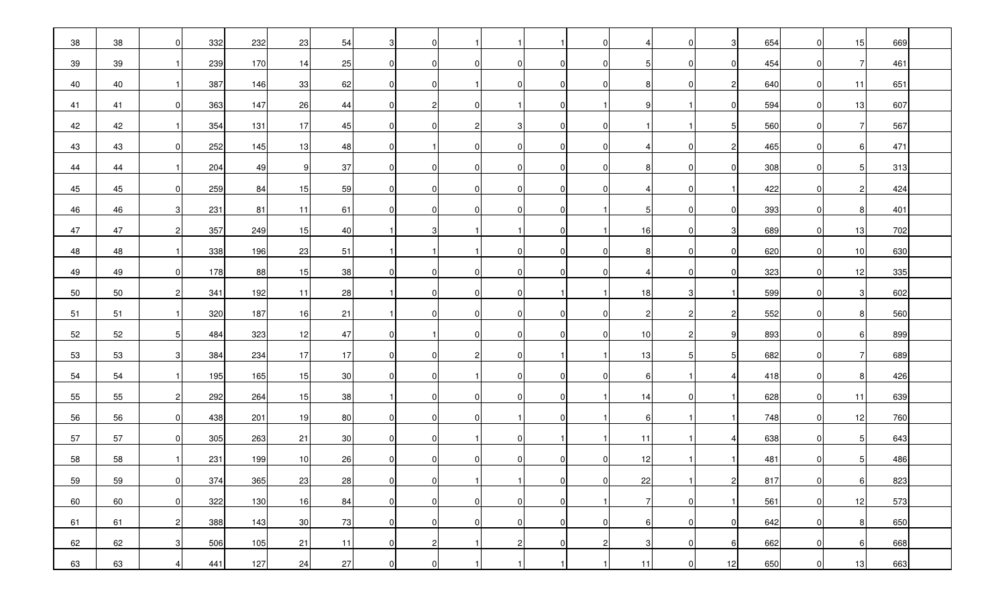| 38 | 38 | $\overline{0}$ | 332 | 232 | 23 | 54 | 3I             | $\overline{0}$ |                |          |                | $\overline{0}$ | 4              | $\overline{0}$ | 3               | 654 | $\overline{0}$ | 15             | 669 |  |
|----|----|----------------|-----|-----|----|----|----------------|----------------|----------------|----------|----------------|----------------|----------------|----------------|-----------------|-----|----------------|----------------|-----|--|
| 39 | 39 | $\vert$ 1      | 239 | 170 | 14 | 25 | 0I             | $\overline{0}$ | $\Omega$       |          | $\overline{0}$ | $\overline{0}$ | 5 <sub>l</sub> | $\overline{0}$ | $\overline{0}$  | 454 | $\overline{0}$ | $\overline{7}$ | 461 |  |
| 40 | 40 | $\overline{1}$ | 387 | 146 | 33 | 62 | $\overline{0}$ | $\overline{0}$ | -1             | n        | $\overline{0}$ | $\Omega$       | 8 <sup>1</sup> | $\overline{0}$ | $\mathbf{2}$    | 640 | $\overline{0}$ | 11             | 651 |  |
| 41 | 41 | $\overline{0}$ | 363 | 147 | 26 | 44 | $\overline{0}$ | $\overline{2}$ | 0I             |          | $\overline{0}$ |                | 9              |                | 0               | 594 | $\overline{0}$ | 13             | 607 |  |
| 42 | 42 | 1              | 354 | 131 | 17 | 45 | $\overline{0}$ | $\overline{0}$ | $\overline{2}$ |          | $\overline{0}$ | $\overline{0}$ | 1              |                | $5\phantom{.0}$ | 560 | $\overline{0}$ | 7              | 567 |  |
| 43 | 43 | $\overline{0}$ | 252 | 145 | 13 | 48 | $\overline{0}$ | $\mathbf{1}$   | $\overline{0}$ |          | 0I             | 01             | $\frac{4}{ }$  | $\overline{0}$ | $\mathbf{2}$    | 465 | $\overline{0}$ | 6              | 471 |  |
| 44 | 44 | $\vert$ 1      | 204 | 49  | 9  | 37 | $\overline{0}$ | $\overline{0}$ | 0I             |          | $\overline{0}$ | $\overline{0}$ | 8 <sub>l</sub> | $\overline{0}$ | 0               | 308 | $\overline{0}$ | 5              | 313 |  |
| 45 | 45 | $\overline{0}$ | 259 | 84  | 15 | 59 | $\overline{0}$ | $\overline{0}$ | 0I             | $\Omega$ | $\overline{0}$ | 01             | $\overline{4}$ | $\overline{0}$ | $\vert$ 1       | 422 | $\overline{0}$ | $\overline{2}$ | 424 |  |
| 46 | 46 | 3              | 231 | 81  | 11 | 61 | $\overline{0}$ | $\overline{0}$ | $\overline{0}$ |          | $\overline{0}$ | 1 I            | 5              | $\overline{0}$ | $\overline{0}$  | 393 | $\overline{0}$ | 8              | 401 |  |
| 47 | 47 | 2              | 357 | 249 | 15 | 40 | -1 I           | -3 I           | $\mathbf{1}$   |          | $\Omega$       | $\mathbf{1}$   | 16             | $\Omega$       | $\overline{3}$  | 689 | $\overline{0}$ | 13             | 702 |  |
| 48 | 48 | $\overline{1}$ | 338 | 196 | 23 | 51 | $\overline{1}$ | -1             | -1 I           | 0        | $\overline{0}$ | $\overline{0}$ | 8 <sup>1</sup> | 0I             | $\overline{0}$  | 620 | 0              | 10             | 630 |  |
| 49 | 49 | $\overline{0}$ | 178 | 88  | 15 | 38 | 0I             | $\overline{0}$ | $\overline{0}$ |          | $\overline{0}$ | $\overline{0}$ | 4              | $\overline{0}$ | $\overline{0}$  | 323 | $\overline{0}$ | 12             | 335 |  |
| 50 | 50 | $\overline{2}$ | 341 | 192 | 11 | 28 |                | $\overline{0}$ | $\mathbf 0$    |          |                |                | 18             | 3              | $\mathbf{1}$    | 599 | $\overline{0}$ | -3             | 602 |  |
| 51 | 51 | $\vert$ 1      | 320 | 187 | 16 | 21 |                | $\overline{0}$ | $\Omega$       |          | $\Omega$       | $\Omega$       | $\overline{2}$ | 2              | $\overline{2}$  | 552 | $\overline{0}$ | 8              | 560 |  |
| 52 | 52 | 5 <sub>l</sub> | 484 | 323 | 12 | 47 | $\overline{0}$ |                | $\overline{0}$ |          | $\overline{0}$ | 01             | 10             | $\mathbf{2}$   | 9               | 893 | $\mathbf{0}$   | 6              | 899 |  |
| 53 | 53 | 3              | 384 | 234 | 17 | 17 | $\overline{0}$ | 0              | $\overline{2}$ |          |                |                | 13             | 51             | 5               | 682 | $\overline{0}$ | 7              | 689 |  |
| 54 | 54 | 1              | 195 | 165 | 15 | 30 | $\overline{0}$ | $\overline{0}$ |                |          | $\overline{0}$ | $\Omega$       | 6              |                | 4               | 418 | $\overline{0}$ | 8              | 426 |  |
| 55 | 55 | 2              | 292 | 264 | 15 | 38 | -1 I           | $\Omega$       | $\Omega$       |          | $\Omega$       |                | 14             | 0I             | $\vert$ 1       | 628 | $\overline{0}$ | 11             | 639 |  |
| 56 | 56 | $\overline{0}$ | 438 | 201 | 19 | 80 | $\overline{0}$ | $\overline{0}$ | $\overline{0}$ |          | $\overline{0}$ |                | 6              |                | $\vert$ 1       | 748 | $\overline{0}$ | 12             | 760 |  |
| 57 | 57 | 0              | 305 | 263 | 21 | 30 | $\overline{0}$ | 01             |                |          |                |                | 11             |                | $\overline{4}$  | 638 | $\overline{0}$ | 5              | 643 |  |
| 58 | 58 | 1              | 231 | 199 | 10 | 26 | $\overline{0}$ | $\overline{0}$ | $\overline{0}$ | $\Omega$ | $\overline{0}$ | 0              | 12             |                | $\mathbf{1}$    | 481 | $\overline{0}$ | 5              | 486 |  |
| 59 | 59 | $\overline{0}$ | 374 | 365 | 23 | 28 | $\overline{0}$ | $\overline{0}$ | 11             | -1 I     | $\overline{0}$ | $\overline{0}$ | 22             | -1 I           | $2\vert$        | 817 | 0              | 6              | 823 |  |
| 60 | 60 | $\overline{0}$ | 322 | 130 | 16 | 84 | $\overline{0}$ | $\overline{0}$ | $\Omega$       |          | 0I             | -1             | 7              | $\overline{0}$ | $\vert$ 1       | 561 | $\overline{0}$ | 12             | 573 |  |
| 61 | 61 | $2 \vert$      | 388 | 143 | 30 | 73 | $\overline{0}$ | $\overline{0}$ | $\Omega$       |          | $\overline{0}$ | $\overline{0}$ | $6 \mid$       | $\overline{0}$ | 0               | 642 | $\overline{0}$ | 8              | 650 |  |
| 62 | 62 | 3              | 506 | 105 | 21 | 11 | $\overline{0}$ | $\overline{2}$ |                |          | $\overline{0}$ | $\mathbf{2}$   | 3 <sub>l</sub> | $\overline{0}$ | 6               | 662 | $\overline{0}$ | 6              | 668 |  |
| 63 | 63 | $\overline{4}$ | 441 | 127 | 24 | 27 | $\overline{0}$ | $\overline{0}$ |                |          |                | 1              | 11             | 0              | 12              | 650 | $\overline{0}$ | 13             | 663 |  |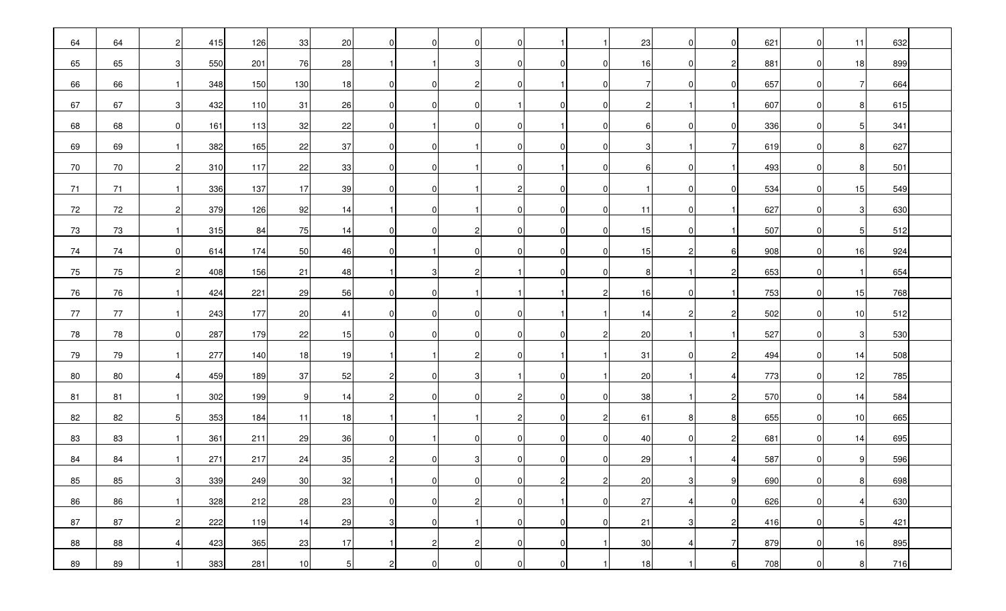| 64 | 64 | $\mathbf{2}$   | 415 | 126 | 33  | 20             | $\overline{0}$   | $\overline{0}$ | $\overline{0}$ |                |                |                | 23             | $\mathbf{0}$   | $\overline{0}$ | 621 | $\overline{0}$ | 11             | 632 |  |
|----|----|----------------|-----|-----|-----|----------------|------------------|----------------|----------------|----------------|----------------|----------------|----------------|----------------|----------------|-----|----------------|----------------|-----|--|
| 65 | 65 | 3              | 550 | 201 | 76  | 28             | $\mathbf{1}$     |                | 3              |                | $\mathbf{0}$   | $\overline{0}$ | 16             | $\Omega$       | $\mathbf{2}$   | 881 | $\mathbf 0$    | 18             | 899 |  |
| 66 | 66 | $\vert$ 1      | 348 | 150 | 130 | 18             | $\overline{0}$   | $\overline{0}$ | $\mathbf{2}$   |                |                | 0              | $\overline{7}$ | 0              | $\overline{0}$ | 657 | $\overline{0}$ | 7              | 664 |  |
| 67 | 67 | 3              | 432 | 110 | 31  | 26             | $\overline{0}$   | 0              | $\overline{0}$ |                | $\overline{0}$ | 01             | 2              |                | $\vert$ 1      | 607 | $\overline{0}$ | 8              | 615 |  |
| 68 | 68 | $\overline{0}$ | 161 | 113 | 32  | 22             | $\overline{0}$   |                | $\overline{0}$ |                |                | 0              | 6              | 0              | $\overline{0}$ | 336 | 0              | 5              | 341 |  |
| 69 | 69 | $\vert$ 1      | 382 | 165 | 22  | 37             | $\overline{0}$   | $\overline{0}$ | -1 I           |                | $\Omega$       | 01             | 3              |                | $7 \,$         | 619 | $\overline{0}$ | 8              | 627 |  |
| 70 | 70 | $2 \vert$      | 310 | 117 | 22  | 33             | $\overline{0}$   | $\overline{0}$ | 11             |                |                | 01             | 6              | $\overline{0}$ | $\overline{1}$ | 493 | $\overline{0}$ | 8              | 501 |  |
| 71 | 71 | $\vert$ 1      | 336 | 137 | 17  | 39             | $\overline{0}$   | 01             | -1 I           |                | ΟI             | 0I             |                | $\overline{0}$ | 0              | 534 | $\overline{0}$ | 15             | 549 |  |
| 72 | 72 | $\mathbf{2}$   | 379 | 126 | 92  | 14             | -1               | 0              |                |                | $\overline{0}$ | 0              | 11             | 01             | $\mathbf{1}$   | 627 | 0              | 3              | 630 |  |
| 73 | 73 | $\vert$ 1      | 315 | 84  | 75  | 14             | $\overline{0}$   | 01             | 2 <sup>1</sup> |                | $\Omega$       | 0              | 15             | 01             | $\mathbf{1}$   | 507 | $\overline{0}$ | 5              | 512 |  |
| 74 | 74 | $\overline{0}$ | 614 | 174 | 50  | 46             | $\overline{0}$   | -1             | $\overline{0}$ |                | $\overline{0}$ | 0              | 15             | $\overline{2}$ | $6 \mid$       | 908 | $\overline{0}$ | 16             | 924 |  |
| 75 | 75 | $2 \vert$      | 408 | 156 | 21  | 48             | $\mathbf{1}$     | 3              | $2 \mid$       |                | $\overline{0}$ | 0I             | 8              |                | $\mathbf{2}$   | 653 | 0              |                | 654 |  |
| 76 | 76 | 1              | 424 | 221 | 29  | 56             | $\overline{0}$   | 0              |                |                |                | 2              | 16             | 0              | $\mathbf{1}$   | 753 | 0              | 15             | 768 |  |
| 77 | 77 | $\vert$ 1      | 243 | 177 | 20  | 41             | $\overline{0}$   | 01             | $\overline{0}$ |                |                |                | 14             | $\overline{2}$ | $2 \vert$      | 502 | $\mathbf 0$    | 10             | 512 |  |
| 78 | 78 | $\overline{0}$ | 287 | 179 | 22  | 15             | 0                | 0              | $\overline{0}$ |                | $\overline{0}$ | 2              | 20             |                | $\overline{1}$ | 527 | $\overline{0}$ | 3              | 530 |  |
| 79 | 79 | $\overline{1}$ | 277 | 140 | 18  | 19             |                  |                | $2\vert$       |                |                |                | 31             | 01             | $\mathbf{2}$   | 494 | $\overline{0}$ | 14             | 508 |  |
| 80 | 80 | $\overline{4}$ | 459 | 189 | 37  | 52             | $\overline{c}$   | $\Omega$       | 3              |                | $\overline{0}$ |                | 20             |                | $\overline{4}$ | 773 | 0              | 12             | 785 |  |
| 81 | 81 | $\overline{1}$ | 302 | 199 | 9   | 14             | $2 \mid$         | $\Omega$       | $\overline{0}$ |                | $\overline{0}$ | U              | 38             |                | $2 \vert$      | 570 | $\Omega$       | 14             | 584 |  |
| 82 | 82 | 5 <sub>l</sub> | 353 | 184 | 11  | 18             | $\overline{1}$   |                | $\overline{1}$ |                | $\overline{0}$ | 21             | 61             | 8              | 8 <sub>l</sub> | 655 | 0              | 10             | 665 |  |
| 83 | 83 | $\vert$ 1      | 361 | 211 | 29  | 36             | $\overline{0}$   |                | $\overline{0}$ |                | $\overline{0}$ | O              | 40             | $\Omega$       | $2 \vert$      | 681 | 0              | 14             | 695 |  |
| 84 | 84 |                | 271 | 217 | 24  | 35             | $2 \overline{)}$ | $\overline{0}$ | $3\vert$       |                | $\mathbf{0}$   |                | 29             |                | 4              | 587 | 0              | 9              | 596 |  |
| 85 | 85 | 3              | 339 | 249 | 30  | 32             | $\vert$ 1        | $\overline{0}$ | $\overline{0}$ | $\overline{0}$ | $2 \vert$      | $2\vert$       | 20             | 3              | 9              | 690 | $\overline{0}$ | 8 <sup>1</sup> | 698 |  |
| 86 | 86 | $\vert$ 1      | 328 | 212 | 28  | 23             | $\overline{0}$   | 0 I            | 2 <sup>1</sup> |                |                | 0              | 27             | 4              | $\overline{0}$ | 626 | $\overline{0}$ | 4              | 630 |  |
| 87 | 87 | $2 \vert$      | 222 | 119 | 14  | 29             | $3\vert$         | $\overline{0}$ | -1 I           |                | $\mathbf{0}$   | 0              | 21             | 3              | $2 \vert$      | 416 | $\overline{0}$ | 5              | 421 |  |
| 88 | 88 | 4              | 423 | 365 | 23  | 17             | -1               | $\overline{2}$ | $\overline{2}$ |                | $\overline{0}$ |                | 30             | 4              | $\overline{7}$ | 879 | $\mathbf 0$    | 16             | 895 |  |
| 89 | 89 | $\vert$        | 383 | 281 | 10  | 5 <sub>1</sub> | $\overline{c}$   | $\mathbf 0$    | $\overline{0}$ |                | $\overline{0}$ |                | 18             |                | 6              | 708 | $\mathbf 0$    | 8              | 716 |  |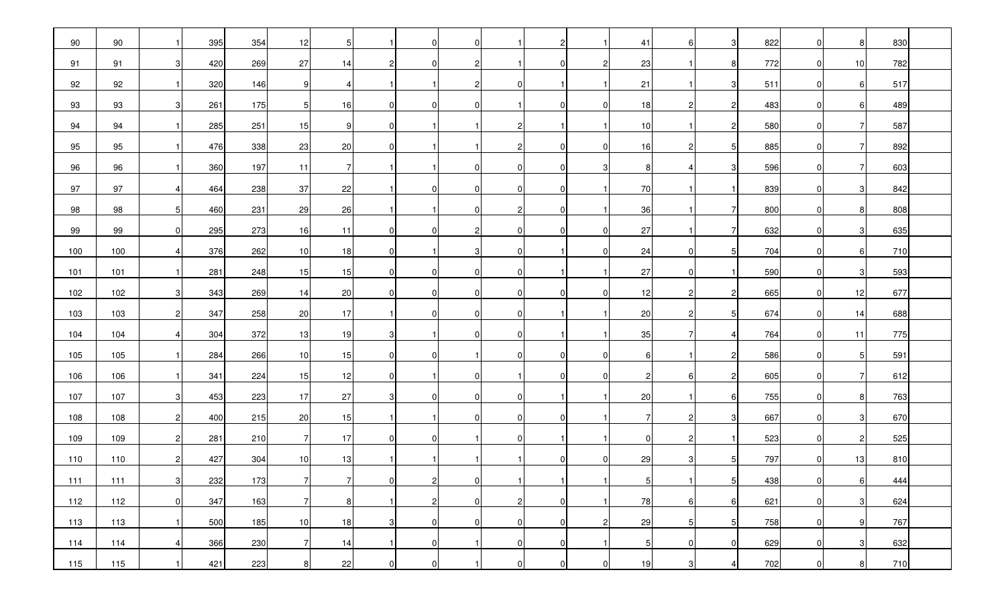| 90    | 90    | $\vert$ 1      | 395 | 354 | 12             | 5              | $\overline{1}$ | $\overline{0}$ | $\overline{0}$ |     | 2 <sub>l</sub> |                | 41             | 6              | $3 \mid$       | 822 | $\overline{0}$ | 8              | 830 |  |
|-------|-------|----------------|-----|-----|----------------|----------------|----------------|----------------|----------------|-----|----------------|----------------|----------------|----------------|----------------|-----|----------------|----------------|-----|--|
| 91    | 91    | $3 \mid$       | 420 | 269 | 27             | 14             | $\overline{2}$ | $\overline{0}$ | $\overline{2}$ |     | $\overline{0}$ | 2 <sub>l</sub> | 23             |                | 8 <sup>1</sup> | 772 | $\overline{0}$ | 10             | 782 |  |
| 92    | 92    | $\vert$ 1      | 320 | 146 | 9              | $\overline{4}$ | $\mathbf{1}$   |                | $\overline{2}$ |     |                |                | 21             |                | $3 \mid$       | 511 | $\overline{0}$ | 6              | 517 |  |
| 93    | 93    | 3              | 261 | 175 | 5              | 16             | $\overline{0}$ | $\Omega$       | $\overline{0}$ |     | $\overline{0}$ | $\overline{0}$ | 18             | 2              | $2 \vert$      | 483 | $\mathbf 0$    | 6              | 489 |  |
| 94    | 94    | $\mathbf{1}$   | 285 | 251 | 15             | 9              | $\overline{0}$ |                | -1             |     |                |                | 10             |                | $\mathbf{2}$   | 580 | $\mathbf 0$    | 7              | 587 |  |
| 95    | 95    | $\vert$ 1      | 476 | 338 | 23             | 20             | 0 I            |                | -1 I           |     | $\Omega$       | 01             | 16             | 2              | 5              | 885 | $\mathbf 0$    | 7              | 892 |  |
| 96    | 96    | $\vert$ 1      | 360 | 197 | 11             | $\overline{7}$ | $\overline{1}$ |                | $\overline{0}$ |     | $\overline{0}$ | 3              | 8              | 4              | 3              | 596 | 0              | 7              | 603 |  |
| 97    | 97    | $\overline{a}$ | 464 | 238 | 37             | 22             | -1             | ΟI             | $\overline{0}$ |     | $\overline{0}$ |                | 70             |                | $\mathbf{1}$   | 839 | $\overline{0}$ | $\mathbf{3}$   | 842 |  |
| 98    | 98    | 5 <sub>5</sub> | 460 | 231 | 29             | 26             | -1             |                | $\overline{0}$ |     | $\Omega$       |                | 36             |                | 7              | 800 | $\overline{0}$ | 8              | 808 |  |
| 99    | 99    | $\overline{0}$ | 295 | 273 | 16             | 11             | $\overline{0}$ | $\Omega$       | $2 \vert$      |     | $\overline{0}$ | $\overline{0}$ | 27             |                | 71             | 632 | $\overline{0}$ | 3              | 635 |  |
| 100   | 100   | 4              | 376 | 262 | 10             | 18             | $\overline{0}$ |                | $3 \mid$       |     |                | $\overline{0}$ | 24             | ΟI             | 5              | 704 | $\overline{0}$ | 6              | 710 |  |
| 101   | 101   | $\overline{1}$ | 281 | 248 | 15             | 15             | $\overline{0}$ | 01             | $\overline{0}$ |     |                |                | 27             | $\overline{0}$ | $\vert$        | 590 | $\overline{0}$ | 3              | 593 |  |
| 102   | 102   | 3              | 343 | 269 | 14             | 20             | $\overline{0}$ | $\overline{0}$ | $\overline{0}$ |     | $\Omega$       | 0              | 12             | $\overline{2}$ | 2              | 665 | $\overline{0}$ | 12             | 677 |  |
| 103   | 103   | $\overline{2}$ | 347 | 258 | 20             | 17             | $\mathbf{1}$   | $\Omega$       | $\overline{0}$ |     |                |                | 20             | 2              | $5 \mid$       | 674 | $\overline{0}$ | 14             | 688 |  |
| 104   | 104   | 4 <sub>l</sub> | 304 | 372 | 13             | 19             | 3              |                | $\overline{0}$ |     |                |                | 35             | 7              | 4 <sup>1</sup> | 764 | $\overline{0}$ | 11             | 775 |  |
| 105   | 105   |                | 284 | 266 | 10             | 15             | $\overline{0}$ | $\Omega$       |                |     | $\overline{0}$ | $\Omega$       | 6              |                | $2 \vert$      | 586 | $\overline{0}$ | 5              | 591 |  |
| 106   | 106   |                | 341 | 224 | 15             | 12             | $\overline{0}$ |                | ΟI             |     | $\overline{0}$ | $\overline{0}$ | $\mathbf{2}$   | 6              | $\mathbf{2}$   | 605 | $\mathbf 0$    | 7              | 612 |  |
| 107   | 107   | 3              | 453 | 223 | 17             | 27             | <sup>3</sup>   | $\Omega$       | 0I             |     |                |                | 20             |                | 61             | 755 | $\overline{0}$ | 8              | 763 |  |
| 108   | 108   | $\mathbf{2}$   | 400 | 215 | 20             | 15             | $\mathbf{1}$   |                | $\overline{0}$ |     | $\overline{0}$ |                | $\overline{7}$ | 2              | 3              | 667 | 0              | 3              | 670 |  |
| 109   | 109   | $\mathbf{2}$   | 281 | 210 | $\overline{7}$ | 17             | $\overline{0}$ | $\Omega$       |                |     |                |                | $\Omega$       | $\overline{c}$ | $\vert$ 1      | 523 | $\overline{0}$ | $\overline{c}$ | 525 |  |
| 110   | 110   | 2              | 427 | 304 | 10             | 13             | -11            |                |                |     | $\overline{0}$ | 01             | 29             | 3              | 5              | 797 | $\overline{0}$ | 13             | 810 |  |
| $111$ | $111$ | 3              | 232 | 173 | $\overline{7}$ | 7              | $\overline{0}$ | $2 \mid$       | $\overline{0}$ | -11 | $\overline{1}$ | 11             | 5              | -1 I           | 5              | 438 | $\overline{0}$ | 6              | 444 |  |
| 112   | 112   | 0              | 347 | 163 | 7              | 8              | $\mathbf{1}$   | $\overline{2}$ | $\overline{0}$ | 2   | $\overline{0}$ |                | 78             | 61             | 6              | 621 | $\overline{0}$ | 3              | 624 |  |
| 113   | 113   | $\vert$ 1      | 500 | 185 | 10             | 18             | $3 \mid$       | $\overline{0}$ | $\overline{0}$ |     | $\overline{0}$ | 2 <sub>l</sub> | 29             | 5 <sub>l</sub> | 5              | 758 | $\overline{0}$ | 9              | 767 |  |
| 114   | 114   | $\overline{4}$ | 366 | 230 | $\overline{7}$ | 14             | $\mathbf{1}$   | $\overline{0}$ |                |     | $\overline{0}$ |                | $5 \mid$       | $\overline{0}$ | $\overline{0}$ | 629 | $\overline{0}$ | 3              | 632 |  |
| 115   | 115   | $\mathbf{1}$   | 421 | 223 | 8              | 22             | $\overline{0}$ | $\overline{0}$ |                |     | $\overline{0}$ | $\overline{0}$ | 19             | 3              | 4              | 702 | $\overline{0}$ | 8              | 710 |  |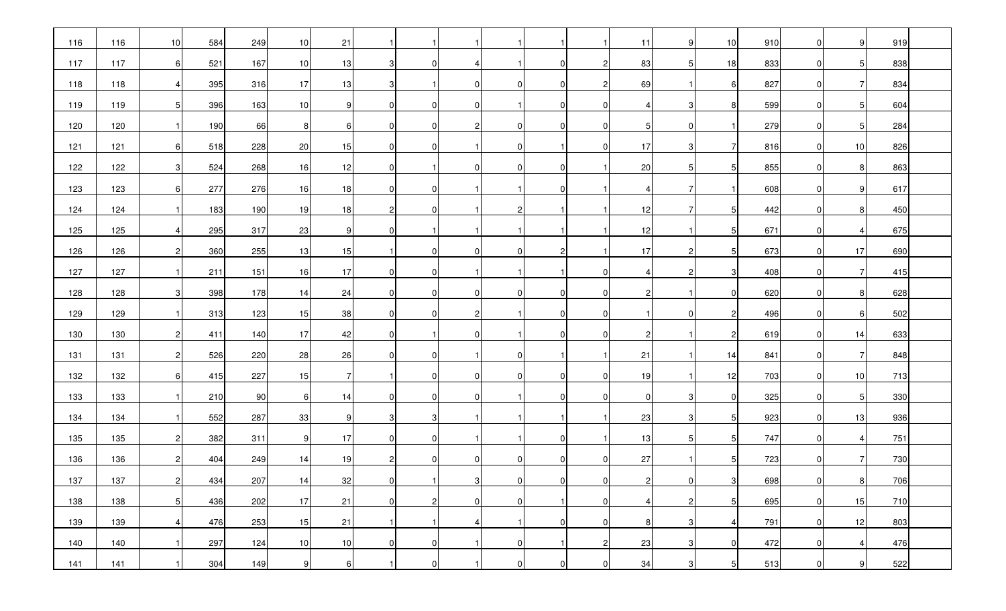| 116 | 116 | 10              | 584 | 249 | 10 | 21 | $\overline{1}$ |                | -11            |                |                |                | 11             | 91             | 10             | 910 | $\overline{0}$ | 9                     | 919 |  |
|-----|-----|-----------------|-----|-----|----|----|----------------|----------------|----------------|----------------|----------------|----------------|----------------|----------------|----------------|-----|----------------|-----------------------|-----|--|
| 117 | 117 | 6               | 521 | 167 | 10 | 13 | $3 \,$         | $\Omega$       | 4 <sup>1</sup> |                | $\overline{0}$ | 2 <sub>l</sub> | 83             | 5 <sub>l</sub> | 18             | 833 | $\overline{0}$ | 5                     | 838 |  |
| 118 | 118 | 4 <sup>1</sup>  | 395 | 316 | 17 | 13 | $3 \mid$       |                | $\overline{0}$ |                | $\overline{0}$ | 2 <sub>l</sub> | 69             |                | $6 \mid$       | 827 | 0              | -7                    | 834 |  |
| 119 | 119 | $5\overline{)}$ | 396 | 163 | 10 | 9  | $\overline{0}$ | $\Omega$       | $\overline{0}$ |                | $\overline{0}$ | $\overline{0}$ | $\overline{4}$ | 3              | 8 <sup>1</sup> | 599 | $\overline{0}$ | 5                     | 604 |  |
| 120 | 120 | $\vert$ 1       | 190 | 66  | 8  | 6  | $\overline{0}$ | $\Omega$       | 2 <sub>l</sub> |                | $\overline{0}$ | 0I             | $5 \,$         | 0I             | $\vert$ 1      | 279 | $\overline{0}$ | 5                     | 284 |  |
| 121 | 121 | 6               | 518 | 228 | 20 | 15 | 0 I            | 01             |                |                |                | 0I             | 17             | 3              | 7 <sup>1</sup> | 816 | $\overline{0}$ | 10                    | 826 |  |
| 122 | 122 | 3 <sup>1</sup>  | 524 | 268 | 16 | 12 | $\overline{0}$ |                | $\overline{0}$ |                | $\overline{0}$ |                | 20             | 5 <sub>l</sub> | 5              | 855 | $\overline{0}$ | 8                     | 863 |  |
| 123 | 123 | $6 \mid$        | 277 | 276 | 16 | 18 | $\overline{0}$ | ΟI             | -1 I           |                | $\Omega$       |                | $\overline{4}$ | 7              | $\vert$ 1      | 608 | $\overline{0}$ | 9                     | 617 |  |
| 124 | 124 | $\vert$ 1       | 183 | 190 | 19 | 18 | $\mathbf{2}$   | $\Omega$       |                |                |                |                | 12             |                | 5              | 442 | 0              | 8                     | 450 |  |
| 125 | 125 | $\overline{4}$  | 295 | 317 | 23 | 9  | $\overline{0}$ |                |                |                |                |                | 12             |                | 5 <sub>l</sub> | 671 | $\overline{0}$ | ⊿                     | 675 |  |
| 126 | 126 | $2\vert$        | 360 | 255 | 13 | 15 | -11            | 01             | $\overline{0}$ |                | 2 <sub>l</sub> |                | 17             | $\overline{2}$ | 5              | 673 | $\overline{0}$ | 17                    | 690 |  |
| 127 | 127 | $\overline{1}$  | 211 | 151 | 16 | 17 | $\overline{0}$ | 01             |                |                |                | $\mathbf{0}$   | 4              | $\overline{2}$ | 3              | 408 | $\overline{0}$ | $\overline{7}$        | 415 |  |
| 128 | 128 | $3 \,$          | 398 | 178 | 14 | 24 | $\overline{0}$ | $\overline{0}$ | $\overline{0}$ |                | $\Omega$       | 0              | $\mathbf{2}$   |                | $\overline{0}$ | 620 | $\mathbf 0$    | 8                     | 628 |  |
| 129 | 129 | $\mathbf{1}$    | 313 | 123 | 15 | 38 | $\overline{0}$ | 01             | 2              |                | $\Omega$       | $\overline{0}$ |                | $\Omega$       | $2 \vert$      | 496 | $\overline{0}$ | 6                     | 502 |  |
| 130 | 130 | 2               | 411 | 140 | 17 | 42 | $\overline{0}$ |                | $\overline{0}$ |                | $\overline{0}$ | 01             | $\mathbf{2}$   |                | $2 \vert$      | 619 | $\overline{0}$ | 14                    | 633 |  |
| 131 | 131 | $\mathbf{2}$    | 526 | 220 | 28 | 26 | $\overline{0}$ | $\Omega$       |                |                |                |                | 21             |                | 14             | 841 | $\overline{0}$ | 7                     | 848 |  |
| 132 | 132 | 6               | 415 | 227 | 15 | 7  |                | $\Omega$       | ΟI             |                | $\overline{0}$ | $\Omega$       | 19             |                | 12             | 703 | 0              | 10                    | 713 |  |
| 133 | 133 |                 | 210 | 90  | 6  | 14 | $\overline{0}$ | $\Omega$       | 0I             |                | $\overline{0}$ | $\Omega$       | $\Omega$       | 3              | $\overline{0}$ | 325 | $\overline{0}$ | 5                     | 330 |  |
| 134 | 134 | -1              | 552 | 287 | 33 | 9  | $3 \mid$       | 3              | -1 I           |                |                |                | 23             | 31             | 5              | 923 | $\overline{0}$ | 13                    | 936 |  |
| 135 | 135 | $\overline{2}$  | 382 | 311 | 9  | 17 | $\overline{0}$ | $\Omega$       |                |                | $\overline{0}$ |                | 13             | 51             | 5              | 747 | $\overline{0}$ | $\boldsymbol{\Delta}$ | 751 |  |
| 136 | 136 | $\mathbf{2}$    | 404 | 249 | 14 | 19 | $\mathbf{2}$   | $\overline{0}$ | $\overline{0}$ |                | $\overline{0}$ | 01             | 27             |                | 5              | 723 | $\mathbf 0$    | 7                     | 730 |  |
| 137 | 137 | $2 \mid$        | 434 | 207 | 14 | 32 | $\overline{0}$ | $\blacksquare$ | 3              | $\overline{0}$ | $\overline{0}$ | $\overline{0}$ | $\mathbf{2}$   | $\overline{0}$ | $3\vert$       | 698 | $\overline{0}$ | 8                     | 706 |  |
| 138 | 138 | 5               | 436 | 202 | 17 | 21 | $\overline{0}$ | 2              | $\overline{0}$ |                |                | 01             | 4              | $\overline{2}$ | 5              | 695 | $\overline{0}$ | 15                    | 710 |  |
| 139 | 139 | $\overline{4}$  | 476 | 253 | 15 | 21 | $\vert$ 1      |                | 4 <sup>1</sup> |                | $\overline{0}$ | $\overline{0}$ | 8              | 3              | $4 \mid$       | 791 | $\overline{0}$ | 12                    | 803 |  |
| 140 | 140 | $\overline{1}$  | 297 | 124 | 10 | 10 | $\overline{0}$ | $\overline{0}$ |                |                |                | 2              | 23             | 3              | $\overline{0}$ | 472 | $\overline{0}$ | $\overline{4}$        | 476 |  |
| 141 | 141 | $\overline{1}$  | 304 | 149 | 9  | 6  | $\mathbf{1}$   | $\overline{0}$ |                |                | $\overline{0}$ | $\overline{0}$ | 34             | 3 <sup>1</sup> | 5              | 513 | $\overline{0}$ | 9                     | 522 |  |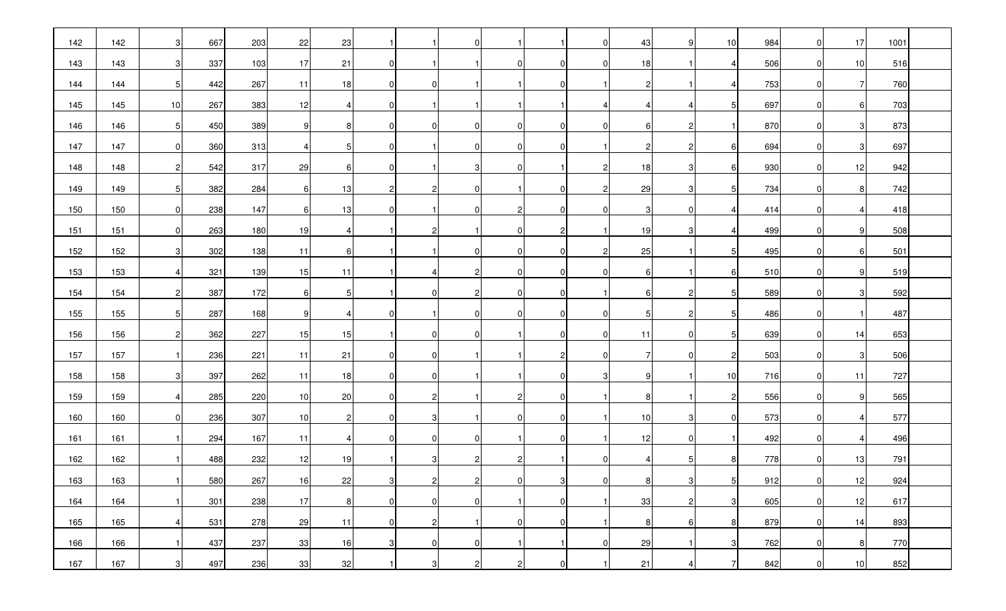| 142 | 142 | 3              | 667 | 203 | 22 | 23             | $\mathbf{1}$   | -1             | $\overline{0}$ |                |                | 0              | 43              | 9              | 10             | 984 | $\mathbf 0$    | 17 | 1001 |  |
|-----|-----|----------------|-----|-----|----|----------------|----------------|----------------|----------------|----------------|----------------|----------------|-----------------|----------------|----------------|-----|----------------|----|------|--|
| 143 | 143 | 3              | 337 | 103 | 17 | 21             | $\overline{0}$ |                |                |                | $\overline{0}$ | 0              | 18              |                | $\overline{4}$ | 506 | $\mathbf 0$    | 10 | 516  |  |
| 144 | 144 | 5              | 442 | 267 | 11 | 18             | $\overline{0}$ | 0              | -1 I           |                | $\overline{0}$ |                | $\mathbf{2}$    |                | $4 \mid$       | 753 | $\overline{0}$ | 7  | 760  |  |
| 145 | 145 | 10             | 267 | 383 | 12 | 4              | $\overline{0}$ |                |                |                |                | 4              | 4               |                | 5 <sub>5</sub> | 697 | 0              | 6  | 703  |  |
| 146 | 146 | 5 <sub>5</sub> | 450 | 389 | 9  | 8              | $\overline{0}$ | $\Omega$       | $\overline{0}$ |                | $\overline{0}$ | 0              | 6               | 2              | $\vert$ 1      | 870 | 0              | -3 | 873  |  |
| 147 | 147 | $\overline{0}$ | 360 | 313 | 4  | 5              | $\overline{0}$ |                | $\overline{0}$ |                | $\Omega$       |                | $\mathbf{2}$    | 2              | $6 \mid$       | 694 | 0              | 3  | 697  |  |
| 148 | 148 | $\mathbf{2}$   | 542 | 317 | 29 | 6              | $\overline{0}$ |                | 3 <sup>l</sup> | n              |                | 21             | 18              | 3              | $6 \mid$       | 930 | 0              | 12 | 942  |  |
| 149 | 149 | 5 <sub>5</sub> | 382 | 284 | 6  | 13             | $\mathbf{2}$   | $\overline{2}$ | $\overline{0}$ |                | $\overline{0}$ | 2              | 29              | 3              | 5 <sub>5</sub> | 734 | 0              | 8  | 742  |  |
| 150 | 150 | $\overline{0}$ | 238 | 147 | 6  | 13             | $\overline{0}$ |                | $\overline{0}$ |                | $\mathbf 0$    | 0              | 3               | 0              | $\overline{4}$ | 414 | 0              |    | 418  |  |
| 151 | 151 | $\overline{0}$ | 263 | 180 | 19 | 4              |                | 2              |                |                | $\overline{c}$ |                | 19              | 3              | $\overline{4}$ | 499 | $\mathbf 0$    | 9  | 508  |  |
| 152 | 152 | 3              | 302 | 138 | 11 | 6              | $\mathbf{1}$   |                | $\overline{0}$ |                | $\overline{0}$ | 2              | 25              |                | 5 <sub>l</sub> | 495 | $\overline{0}$ | 6  | 501  |  |
| 153 | 153 | $\overline{4}$ | 321 | 139 | 15 | 11             |                |                | $\overline{2}$ |                | $\overline{0}$ | 0              | 6               |                | $6 \mid$       | 510 | 0              | 9  | 519  |  |
| 154 | 154 | $2 \vert$      | 387 | 172 | 6  | 5              |                | 0              | $\mathbf{2}$   |                | $\Omega$       |                | 6               | 2              | 5 <sub>5</sub> | 589 | 0              | 3  | 592  |  |
| 155 | 155 | 5 <sub>l</sub> | 287 | 168 | 9  | 4              | $\overline{0}$ |                | $\overline{0}$ |                | $\Omega$       | 0              | $5 \mid$        | 2              | 5 <sub>5</sub> | 486 | $\mathbf 0$    |    | 487  |  |
| 156 | 156 | $\mathbf{2}$   | 362 | 227 | 15 | 15             | 11             | 0              | $\overline{0}$ |                | $\overline{0}$ | 0              | 11              | 0              | 5 <sub>l</sub> | 639 | 0              | 14 | 653  |  |
| 157 | 157 | $\overline{1}$ | 236 | 221 | 11 | 21             | $\overline{0}$ | $\Omega$       |                |                | 2 <sub>l</sub> | U              | $\overline{7}$  | 0              | $\overline{2}$ | 503 | 0              | 3  | 506  |  |
| 158 | 158 | $3 \mid$       | 397 | 262 | 11 | 18             | $\overline{0}$ | $\Omega$       |                |                | $\overline{0}$ | 3              | 9               |                | 10             | 716 | 0              | 11 | 727  |  |
| 159 | 159 | $\overline{4}$ | 285 | 220 | 10 | 20             | $\overline{0}$ | 21             |                |                | $\Omega$       |                | 8               |                | $2 \vert$      | 556 | $\Omega$       | 9  | 565  |  |
| 160 | 160 | $\overline{0}$ | 236 | 307 | 10 | $\overline{2}$ | $\overline{0}$ | 31             |                |                | $\overline{0}$ |                | 10 <sup>1</sup> | 3              | $\overline{0}$ | 573 | $\overline{0}$ | 4  | 577  |  |
| 161 | 161 | $\vert$ 1      | 294 | 167 | 11 | 4              | $\overline{0}$ |                | $\overline{0}$ |                | $\overline{0}$ |                | 12              | $\Omega$       | $\vert$ 1      | 492 | 0              |    | 496  |  |
| 162 | 162 |                | 488 | 232 | 12 | 19             | $\blacksquare$ | 3              | $\mathbf{2}$   |                |                | 0              | 4               | 5              | 8 <sup>1</sup> | 778 | 0              | 13 | 791  |  |
| 163 | 163 | $\vert$ 1      | 580 | 267 | 16 | 22             | 3 <sup>1</sup> | $2 \mid$       | $\overline{2}$ | $\overline{0}$ | $\overline{3}$ | $\overline{0}$ | 8               | 3              | 5              | 912 | $\circ$        | 12 | 924  |  |
| 164 | 164 | $\vert$ 1      | 301 | 238 | 17 | 8              | $\overline{0}$ | $\overline{0}$ | $\overline{0}$ |                | $\overline{0}$ |                | 33              | $\overline{2}$ | $3 \mid$       | 605 | $\overline{0}$ | 12 | 617  |  |
| 165 | 165 | $\overline{4}$ | 531 | 278 | 29 | 11             | $\overline{0}$ | 2              | -1 I           |                | $\overline{0}$ |                | 8               | 61             | 8 <sub>l</sub> | 879 | $\overline{0}$ | 14 | 893  |  |
| 166 | 166 | $\vert$        | 437 | 237 | 33 | 16             | 3 <sub>l</sub> | $\overline{0}$ | $\overline{0}$ |                |                | 0              | 29              |                | 3 <sup>1</sup> | 762 | $\mathbf 0$    | 8  | 770  |  |
| 167 | 167 | 3              | 497 | 236 | 33 | 32             | $\mathbf 1$    | 3              | $\overline{2}$ |                | $\overline{0}$ |                | 21              | 4              | $\overline{7}$ | 842 | $\mathbf 0$    | 10 | 852  |  |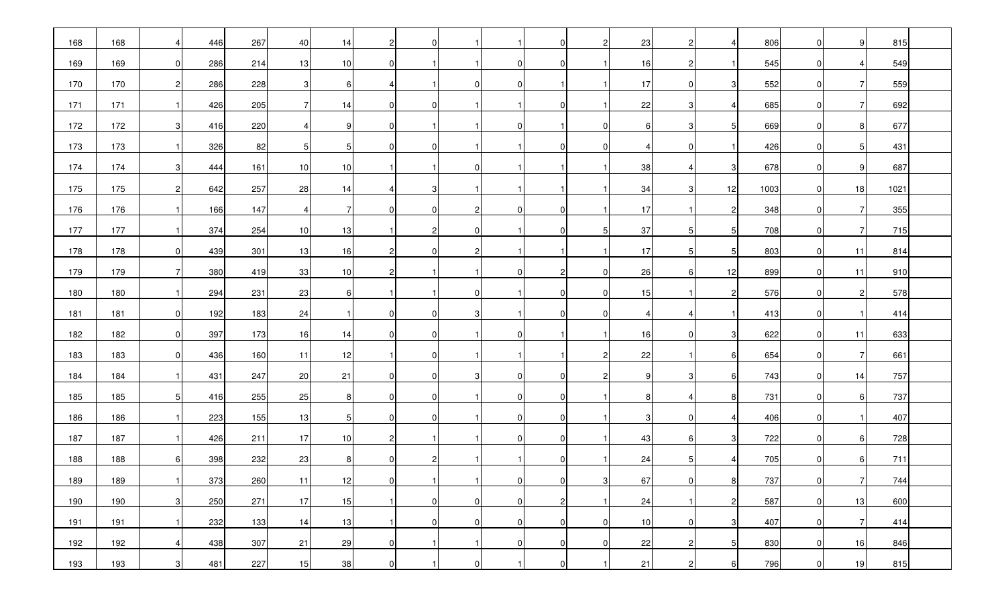| 168 | 168 | $\overline{4}$ | 446 | 267 | 40             | 14 | $\overline{2}$ | $\overline{0}$ | -1 I           |                | $\overline{0}$ | 21 | 23 | $\overline{2}$ | $\overline{4}$ | 806  | 0              | 9              | 815  |  |
|-----|-----|----------------|-----|-----|----------------|----|----------------|----------------|----------------|----------------|----------------|----|----|----------------|----------------|------|----------------|----------------|------|--|
| 169 | 169 | $\overline{0}$ | 286 | 214 | 13             | 10 | $\overline{0}$ |                | $\mathbf{1}$   |                | $\overline{0}$ |    | 16 | $\overline{2}$ | $\vert$ 1      | 545  | 0              |                | 549  |  |
| 170 | 170 | $\mathbf{2}$   | 286 | 228 | $\mathbf{3}$   | 6  | $\overline{4}$ |                | $\overline{0}$ |                |                |    | 17 | $\overline{0}$ | $3 \mid$       | 552  | 0              |                | 559  |  |
| 171 | 171 | $\vert$ 1      | 426 | 205 | 7              | 14 | $\overline{0}$ | 0              |                |                | $\overline{0}$ |    | 22 | 3              | $\overline{4}$ | 685  | 0              |                | 692  |  |
| 172 | 172 | $3 \mid$       | 416 | 220 | $\overline{4}$ | 9  | $\overline{0}$ |                |                |                |                | 0  | 6  | 3              | 5 <sub>5</sub> | 669  | 0              | 8              | 677  |  |
| 173 | 173 | $\vert$ 1      | 326 | 82  | 5              | 5  | $\overline{0}$ | 0              |                |                | $\overline{0}$ | 0  | 4  | 0              | $\vert$ 1      | 426  | 0              | 5              | 431  |  |
| 174 | 174 | 3 <sup>l</sup> | 444 | 161 | 10             | 10 | $\overline{1}$ |                | $\overline{0}$ |                |                |    | 38 | 4              | $3 \mid$       | 678  | 0              | 9              | 687  |  |
| 175 | 175 | $\mathbf{2}$   | 642 | 257 | 28             | 14 | 4              | 31             |                |                |                |    | 34 | 3              | 12             | 1003 | $\overline{0}$ | 18             | 1021 |  |
| 176 | 176 | $\vert$ 1      | 166 | 147 | 4              | 7  | $\overline{0}$ | $\Omega$       | 2 <sub>l</sub> |                | $\Omega$       |    | 17 |                | $\mathbf{2}$   | 348  | $\overline{0}$ | 7              | 355  |  |
| 177 | 177 | $\vert$ 1      | 374 | 254 | 10             | 13 | -1             | 2              | $\overline{0}$ |                | $\Omega$       | 5  | 37 | 5              | 5 <sub>5</sub> | 708  | $\mathbf 0$    | 7              | 715  |  |
| 178 | 178 | $\overline{0}$ | 439 | 301 | 13             | 16 | $\overline{2}$ | 0              | 2 <sub>l</sub> |                |                |    | 17 | 5              | 5 <sub>l</sub> | 803  | 0              | 11             | 814  |  |
| 179 | 179 | $\overline{7}$ | 380 | 419 | 33             | 10 | $\overline{c}$ |                |                |                | 2              | O  | 26 | 6              | 12             | 899  | 0              | 11             | 910  |  |
| 180 | 180 | $\mathbf{1}$   | 294 | 231 | 23             | 6  |                |                | $\overline{0}$ |                | $\Omega$       | 0  | 15 |                | $\mathbf{2}$   | 576  | 0              | $\overline{c}$ | 578  |  |
| 181 | 181 | $\overline{0}$ | 192 | 183 | 24             | -1 | $\overline{0}$ | 0              | 3              |                | $\Omega$       | 0  | 4  |                | $\mathbf{1}$   | 413  | $\mathbf 0$    |                | 414  |  |
| 182 | 182 | $\overline{0}$ | 397 | 173 | 16             | 14 | $\overline{0}$ | 0              |                |                |                |    | 16 | 0              | $3 \mid$       | 622  | 0              | 11             | 633  |  |
| 183 | 183 | $\overline{0}$ | 436 | 160 | 11             | 12 |                | $\Omega$       |                |                |                | 2  | 22 |                | $6 \mid$       | 654  | 0              | 7              | 661  |  |
| 184 | 184 |                | 431 | 247 | 20             | 21 | $\mathbf{0}$   | $\Omega$       | 3              |                | $\overline{0}$ | 2  | 9  | 3              | 6              | 743  | 0              | 14             | 757  |  |
| 185 | 185 | 5 <sub>l</sub> | 416 | 255 | 25             | 8  | $\overline{0}$ | $\Omega$       |                |                | $\Omega$       |    | 8  |                | 8              | 731  | $\Omega$       | 6              | 737  |  |
| 186 | 186 | $\vert$ 1      | 223 | 155 | 13             | 5  | $\overline{0}$ | 0              |                |                | $\overline{0}$ |    | 3  | 0              | $\overline{4}$ | 406  | $\overline{0}$ |                | 407  |  |
| 187 | 187 | $\vert$ 1      | 426 | 211 | 17             | 10 | $\mathbf{2}$   |                |                |                | $\overline{0}$ |    | 43 | 6              | 3              | 722  | 0              | 6              | 728  |  |
| 188 | 188 | 6              | 398 | 232 | 23             | 8  | $\overline{0}$ | $\mathbf{2}$   |                |                | $\overline{0}$ |    | 24 | 5 <sub>l</sub> | 4 <sup>1</sup> | 705  | 0              | 6              | 711  |  |
| 189 | 189 | $\vert$ 1      | 373 | 260 | 11             | 12 | $\overline{0}$ | $\vert$ 1      | -11            | $\overline{0}$ | $\overline{0}$ | 3  | 67 | $\overline{0}$ | 8              | 737  | $\circ$        | $\overline{7}$ | 744  |  |
| 190 | 190 | 3              | 250 | 271 | 17             | 15 | -1             | $\overline{0}$ | $\overline{0}$ |                | $\overline{2}$ |    | 24 |                | $\mathbf{2}$   | 587  | $\overline{0}$ | 13             | 600  |  |
| 191 | 191 | $\vert$ 1      | 232 | 133 | 14             | 13 | $\blacksquare$ | 0              | $\overline{0}$ |                | $\overline{0}$ | 0  | 10 | 0              | 3 <sup>1</sup> | 407  | $\overline{0}$ | $\overline{7}$ | 414  |  |
| 192 | 192 | 4              | 438 | 307 | 21             | 29 | $\overline{0}$ |                |                |                | $\overline{0}$ | 0  | 22 | $\overline{2}$ | 5 <sub>5</sub> | 830  | $\mathbf 0$    | 16             | 846  |  |
| 193 | 193 | 3              | 481 | 227 | 15             | 38 | $\overline{0}$ |                | $\overline{0}$ |                | $\overline{0}$ |    | 21 | 2              | 6              | 796  | $\mathbf 0$    | 19             | 815  |  |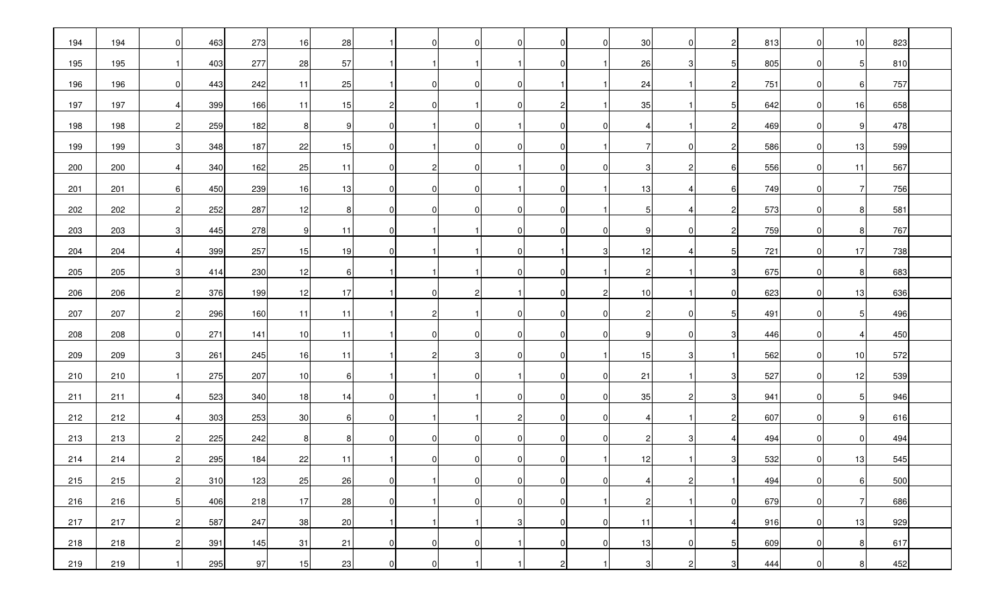| 194 | 194 | $\overline{0}$ | 463 | 273 | 16 | 28 | $\mathbf{1}$   | $\overline{0}$ | $\overline{0}$ |                | $\overline{0}$ | 0I             | 30              | $\overline{0}$ | $2 \vert$      | 813 | $\overline{0}$ | 10             | 823 |  |
|-----|-----|----------------|-----|-----|----|----|----------------|----------------|----------------|----------------|----------------|----------------|-----------------|----------------|----------------|-----|----------------|----------------|-----|--|
| 195 | 195 | $\overline{1}$ | 403 | 277 | 28 | 57 | -1             |                |                |                | $\overline{0}$ |                | 26              | 3              | 5              | 805 | $\overline{0}$ | 5              | 810 |  |
| 196 | 196 | $\overline{0}$ | 443 | 242 | 11 | 25 | $\mathbf{1}$   | $\overline{0}$ | $\overline{0}$ |                |                |                | 24              |                | $2 \vert$      | 751 | 0              | 6              | 757 |  |
| 197 | 197 | $\overline{4}$ | 399 | 166 | 11 | 15 | 2              | ΟI             | -1             |                | $\overline{c}$ |                | 35              |                | 5              | 642 | $\overline{0}$ | 16             | 658 |  |
| 198 | 198 | $\mathbf{2}$   | 259 | 182 | 8  | 9  | $\overline{0}$ |                | $\overline{0}$ |                | $\overline{0}$ | 0I             | 4               |                | $\mathbf{2}$   | 469 | $\mathbf 0$    | 9              | 478 |  |
| 199 | 199 | $3 \mid$       | 348 | 187 | 22 | 15 | 0 I            |                | $\overline{0}$ |                | $\Omega$       |                | $\overline{7}$  | 0I             | $\mathbf{2}$   | 586 | $\mathbf 0$    | 13             | 599 |  |
| 200 | 200 | $\overline{4}$ | 340 | 162 | 25 | 11 | $\overline{0}$ | $\mathbf{2}$   | $\overline{0}$ |                | $\overline{0}$ | 01             | 3               | 2              | $6 \mid$       | 556 | $\overline{0}$ | 11             | 567 |  |
| 201 | 201 | 6              | 450 | 239 | 16 | 13 | 0 I            | 01             | $\overline{0}$ |                | $\overline{0}$ |                | 13              | 4              | $6 \mid$       | 749 | 0              | -7             | 756 |  |
| 202 | 202 | $\mathbf{2}$   | 252 | 287 | 12 | 8  | $\overline{0}$ | $\Omega$       | $\overline{0}$ |                | $\Omega$       |                | $5 \,$          |                | $\mathbf{2}$   | 573 | 0              | 8              | 581 |  |
| 203 | 203 | $3 \,$         | 445 | 278 | 9  | 11 | $\overline{0}$ |                |                |                | $\Omega$       | $\overline{0}$ | 9               | $\Omega$       | 2              | 759 | $\overline{0}$ | 8              | 767 |  |
| 204 | 204 | 4 <sup>1</sup> | 399 | 257 | 15 | 19 | $\overline{0}$ |                | -1             |                |                | 3              | 12              | 4              | 5              | 721 | $\overline{0}$ | 17             | 738 |  |
| 205 | 205 | 3              | 414 | 230 | 12 | 6  | -1             |                |                |                | $\overline{0}$ |                | $\overline{2}$  |                | 3              | 675 | $\mathbf 0$    | 8              | 683 |  |
| 206 | 206 | $\mathbf{2}$   | 376 | 199 | 12 | 17 | -1             | $\Omega$       | $\overline{2}$ |                | $\Omega$       | $\overline{2}$ | 10 <sup>1</sup> |                | $\overline{0}$ | 623 | $\mathbf 0$    | 13             | 636 |  |
| 207 | 207 | $\overline{2}$ | 296 | 160 | 11 | 11 | -1             | $\mathbf{2}$   |                |                | $\Omega$       | $\overline{0}$ | $\overline{2}$  | $\Omega$       | $5 \mid$       | 491 | $\overline{0}$ | 5              | 496 |  |
| 208 | 208 | $\overline{0}$ | 271 | 141 | 10 | 11 | $\mathbf{1}$   | $\Omega$       | $\overline{0}$ |                | $\overline{0}$ | 01             | 9               | ΟI             | $3 \mid$       | 446 | $\overline{0}$ | 4              | 450 |  |
| 209 | 209 | 3              | 261 | 245 | 16 | 11 |                |                | 3              |                | $\Omega$       |                | 15              | 3              | $\vert$ 1      | 562 | $\overline{0}$ | 10             | 572 |  |
| 210 | 210 |                | 275 | 207 | 10 | 6  |                |                | 0I             |                | 0              | 0              | 21              |                | 3              | 527 | 0              | 12             | 539 |  |
| 211 | 211 | $\overline{4}$ | 523 | 340 | 18 | 14 | $\overline{0}$ |                |                |                | $\Omega$       | $\Omega$       | 35              | 2              | $3 \mid$       | 941 | $\overline{0}$ | 5              | 946 |  |
| 212 | 212 | $\overline{4}$ | 303 | 253 | 30 | 6  | $\overline{0}$ |                |                |                | $\overline{0}$ | 01             | $\overline{4}$  |                | $\mathbf{2}$   | 607 | $\overline{0}$ | 9              | 616 |  |
| 213 | 213 | $\mathbf{2}$   | 225 | 242 | 8  | 8  | $\overline{0}$ | <sup>0</sup>   | $\overline{0}$ |                | $\overline{0}$ | $\mathbf{0}$   | $\mathbf{2}$    | 3              | $\overline{4}$ | 494 | $\mathbf 0$    | $\mathbf 0$    | 494 |  |
| 214 | 214 | 2              | 295 | 184 | 22 | 11 | -11            | $\overline{0}$ | $\overline{0}$ |                | $\overline{0}$ |                | 12              |                | 3              | 532 | $\overline{0}$ | 13             | 545 |  |
| 215 | 215 | $2\vert$       | 310 | 123 | 25 | 26 | $\overline{0}$ | $\blacksquare$ | $\overline{0}$ | $\overline{0}$ | $\overline{0}$ | $\overline{0}$ | 4 <sup>1</sup>  | $2 \vert$      | $\overline{1}$ | 494 | $\overline{0}$ | 6              | 500 |  |
| 216 | 216 | 5              | 406 | 218 | 17 | 28 | $\overline{0}$ |                | $\overline{0}$ |                | $\overline{0}$ |                | $\mathbf{2}$    |                | $\overline{0}$ | 679 | $\overline{0}$ | $\overline{7}$ | 686 |  |
| 217 | 217 | $2 \vert$      | 587 | 247 | 38 | 20 | - 11           |                |                |                | $\overline{0}$ | $\mathbf{0}$   | 11              |                | $4 \mid$       | 916 | $\overline{0}$ | 13             | 929 |  |
| 218 | 218 | $\mathbf{2}$   | 391 | 145 | 31 | 21 | $\overline{0}$ | $\overline{0}$ | $\overline{0}$ |                | $\overline{0}$ | $\overline{0}$ | 13              | $\overline{0}$ | 5              | 609 | $\overline{0}$ | 8              | 617 |  |
| 219 | 219 | $\overline{1}$ | 295 | 97  | 15 | 23 | $\overline{0}$ | $\overline{0}$ |                |                | $2\vert$       |                | 3               | $\mathbf{2}$   | 3              | 444 | $\overline{0}$ | 8              | 452 |  |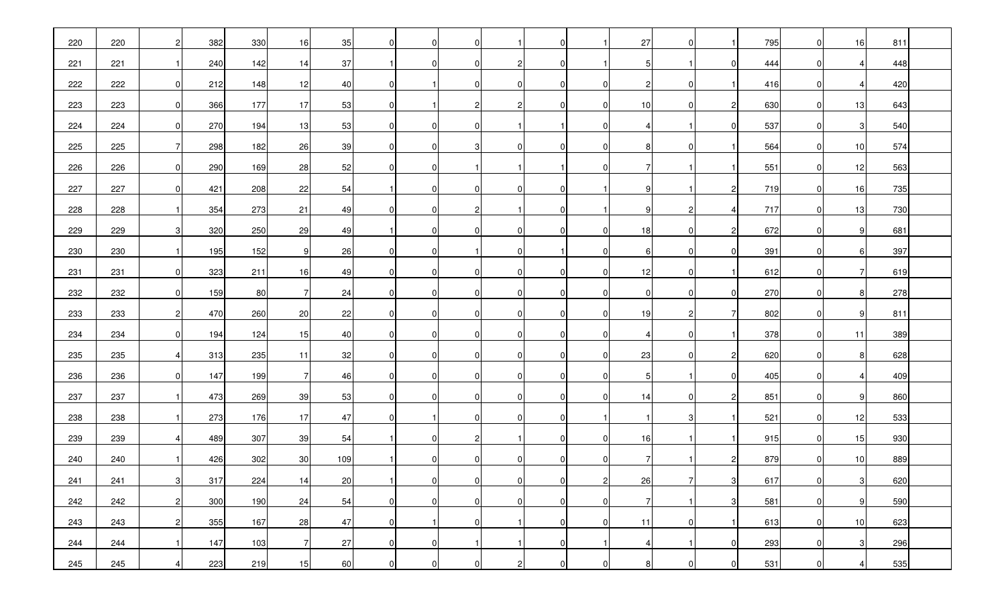| 220 | 220 | $\overline{2}$ | 382 | 330 | 16             | 35  | οI             | $\overline{0}$ | $\overline{0}$ |                | $\overline{0}$ |                | 27             | $\overline{0}$ | $\vert$ 1      | 795 | $\overline{0}$ | 16           | 811 |  |
|-----|-----|----------------|-----|-----|----------------|-----|----------------|----------------|----------------|----------------|----------------|----------------|----------------|----------------|----------------|-----|----------------|--------------|-----|--|
| 221 | 221 | $\vert$ 1      | 240 | 142 | 14             | 37  |                | 0              | $\Omega$       |                | $\overline{0}$ | 1              | 5              |                | $\overline{0}$ | 444 | $\overline{0}$ | 4            | 448 |  |
| 222 | 222 | $\overline{0}$ | 212 | 148 | 12             | 40  | ΟI             |                | $\Omega$       |                | $\overline{0}$ | $\Omega$       | $\overline{2}$ | $\overline{0}$ | $\vert$ 1      | 416 | 0              | 4            | 420 |  |
| 223 | 223 | $\overline{0}$ | 366 | 177 | 17             | 53  | ΟI             |                | $\mathbf{2}$   |                | 01             | 0              | 10             | $\overline{0}$ | $\mathbf{2}$   | 630 | $\overline{0}$ | 13           | 643 |  |
| 224 | 224 | $\overline{0}$ | 270 | 194 | 13             | 53  | οI             | $\Omega$       | $\Omega$       |                |                | $\Omega$       | 4              |                | $\overline{0}$ | 537 | $\overline{0}$ | 3            | 540 |  |
| 225 | 225 | 7 <sup>1</sup> | 298 | 182 | 26             | 39  | $\overline{0}$ | 01             | 3I             |                | 0              | $\overline{0}$ | 8              | $\overline{0}$ | $\mathbf{1}$   | 564 | $\overline{0}$ | 10           | 574 |  |
| 226 | 226 | $\overline{0}$ | 290 | 169 | 28             | 52  | $\overline{0}$ | $\overline{0}$ | -1             |                |                | $\overline{0}$ | $\overline{7}$ |                | $\vert$ 1      | 551 | $\mathbf 0$    | 12           | 563 |  |
| 227 | 227 | $\overline{0}$ | 421 | 208 | 22             | 54  |                | 0              | 0I             |                | 0              |                | 9              |                | $\mathbf{2}$   | 719 | $\overline{0}$ | 16           | 735 |  |
| 228 | 228 | $\vert$ 1      | 354 | 273 | 21             | 49  | $\overline{0}$ | 0              | $\mathbf{2}$   |                | 0              | 1              | 9              | 2              | $\overline{4}$ | 717 | $\overline{0}$ | 13           | 730 |  |
| 229 | 229 | 3 <sup>l</sup> | 320 | 250 | 29             | 49  | 11             | 0              | $\Omega$       |                | $\Omega$       | $\Omega$       | 18             | $\Omega$       | $\overline{2}$ | 672 | $\overline{0}$ | 9            | 681 |  |
| 230 | 230 | $\overline{1}$ | 195 | 152 | 9              | 26  | $\overline{0}$ | 01             | -1             |                |                | $\overline{0}$ | 6              | $\overline{0}$ | $\overline{0}$ | 391 | $\mathbf 0$    | 6            | 397 |  |
| 231 | 231 | $\overline{0}$ | 323 | 211 | 16             | 49  | $\overline{0}$ | 0              | $\Omega$       |                | $\overline{0}$ | $\overline{0}$ | 12             | $\overline{0}$ | $\mathbf{1}$   | 612 | $\overline{0}$ | 7            | 619 |  |
| 232 | 232 | $\overline{0}$ | 159 | 80  | 7              | 24  | $\overline{0}$ | 0              | $\mathbf 0$    |                | 0              | $\Omega$       | $\overline{0}$ | $\overline{0}$ | $\overline{0}$ | 270 | $\mathbf 0$    | 8            | 278 |  |
| 233 | 233 | $\overline{2}$ | 470 | 260 | 20             | 22  | $\overline{0}$ | 0              | $\Omega$       |                | $\Omega$       | $\Omega$       | 19             | $\overline{2}$ | $\overline{7}$ | 802 | $\overline{0}$ | 9            | 811 |  |
| 234 | 234 | $\overline{0}$ | 194 | 124 | 15             | 40  | 0              | 0              | $\overline{0}$ |                | $\overline{0}$ | 0              | 4              | $\overline{0}$ | $\mathbf{1}$   | 378 | $\overline{0}$ | 11           | 389 |  |
| 235 | 235 | $\overline{4}$ | 313 | 235 | 11             | 32  | $\overline{0}$ | 0              | $\Omega$       |                | 0I             | $\Omega$       | 23             | 0I             | $\mathbf{2}$   | 620 | $\overline{0}$ | 8            | 628 |  |
| 236 | 236 | $\overline{0}$ | 147 | 199 | 7              | 46  | ΟI             | 0              | $\Omega$       |                | 0              | ŋ              | 5              |                | $\overline{0}$ | 405 | 0              | 4            | 409 |  |
| 237 | 237 | $\overline{1}$ | 473 | 269 | 39             | 53  | $\overline{0}$ | $\Omega$       | $\Omega$       |                | 0I             | $\Omega$       | 14             | $\Omega$       | $\mathbf{2}$   | 851 | $\overline{0}$ | -9           | 860 |  |
| 238 | 238 | $\mathbf{1}$   | 273 | 176 | 17             | 47  | $\mathbf{0}$   |                | 0I             |                | 01             |                |                | 3              | $\mathbf{1}$   | 521 | $\overline{0}$ | 12           | 533 |  |
| 239 | 239 | $\overline{4}$ | 489 | 307 | 39             | 54  |                | 0              | $\overline{2}$ |                | $\overline{0}$ | $\Omega$       | 16             |                | $\vert$ 1      | 915 | $\overline{0}$ | 15           | 930 |  |
| 240 | 240 |                | 426 | 302 | $30\,$         | 109 |                | $\overline{0}$ | $\overline{0}$ |                | $\overline{0}$ | $\overline{0}$ | 7 <sup>1</sup> |                | $\mathbf{2}$   | 879 | $\overline{0}$ | 10           | 889 |  |
| 241 | 241 | 3              | 317 | 224 | 14             | 20  | -11            | $\overline{0}$ | $\overline{0}$ | $\overline{0}$ | $\overline{0}$ | $2\vert$       | 26             | 7 <sup>1</sup> | 3 <sup>1</sup> | 617 | 0              | $\mathbf{3}$ | 620 |  |
| 242 | 242 | $2 \vert$      | 300 | 190 | 24             | 54  | $\overline{0}$ | $\overline{0}$ | $\Omega$       |                | $\overline{0}$ | $\Omega$       | 7              |                | 3 <sup>l</sup> | 581 | $\overline{0}$ | 9            | 590 |  |
| 243 | 243 | $2 \vert$      | 355 | 167 | 28             | 47  | $\overline{0}$ |                | $\Omega$       |                | $\overline{0}$ | $\overline{0}$ | 11             | $\overline{0}$ | $\vert$ 1      | 613 | $\overline{0}$ | 10           | 623 |  |
| 244 | 244 | $\vert$        | 147 | 103 | $\overline{7}$ | 27  | $\overline{0}$ | $\overline{0}$ |                |                | $\overline{0}$ | 1              | 4              |                | $\overline{0}$ | 293 | $\overline{0}$ | 3            | 296 |  |
| 245 | 245 | $\overline{4}$ | 223 | 219 | 15             | 60  | $\overline{0}$ | $\overline{0}$ | $\Omega$       |                | $\overline{0}$ | $\overline{0}$ | 8              | $\overline{0}$ | $\overline{0}$ | 531 | $\overline{0}$ | 4            | 535 |  |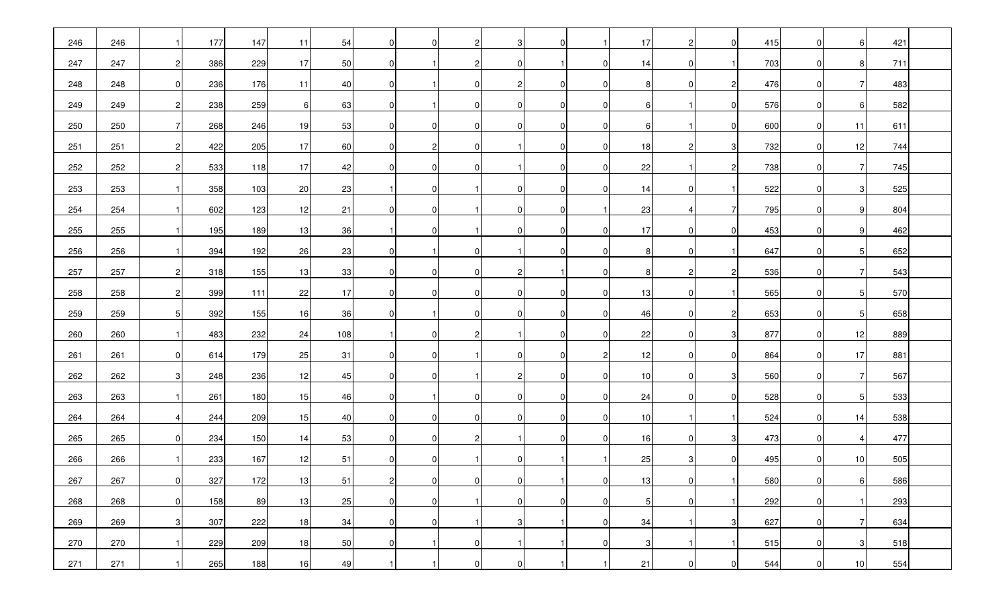| 246 | 246 | $\vert$ 1      | 177 | 147 | 11 | 54  | $\overline{0}$ | $\Omega$       | 2 <sub>l</sub> | 3              | $\overline{0}$ |                | 17              | $\mathbf{2}$   | $\overline{0}$ | 415 | $\mathbf 0$    | 6               | 421 |  |
|-----|-----|----------------|-----|-----|----|-----|----------------|----------------|----------------|----------------|----------------|----------------|-----------------|----------------|----------------|-----|----------------|-----------------|-----|--|
| 247 | 247 | $\mathbf{2}$   | 386 | 229 | 17 | 50  | $\overline{0}$ |                | $\overline{2}$ |                |                | 0              | 14              | 0              | $\overline{1}$ | 703 | 0              | 8               | 711 |  |
| 248 | 248 | $\overline{0}$ | 236 | 176 | 11 | 40  | $\overline{0}$ |                | $\overline{0}$ | 2              | $\overline{0}$ | 01             | 8               | 0              | $\mathbf{2}$   | 476 | 0              | 7               | 483 |  |
| 249 | 249 | $\mathbf{2}$   | 238 | 259 | 6  | 63  | $\overline{0}$ |                | $\overline{0}$ |                | $\overline{0}$ | 0              | 6               |                | $\overline{0}$ | 576 | 0              | 6               | 582 |  |
| 250 | 250 | $\overline{7}$ | 268 | 246 | 19 | 53  | $\overline{0}$ | 0              | 0I             |                | $\Omega$       | 0              | 6               |                | $\overline{0}$ | 600 | 0              | 11              | 611 |  |
| 251 | 251 | $\overline{2}$ | 422 | 205 | 17 | 60  | $\overline{0}$ | $\overline{2}$ | $\overline{0}$ |                | $\Omega$       | 0              | 18              | $\overline{2}$ | $3 \mid$       | 732 | 0              | 12              | 744 |  |
| 252 | 252 | $\mathbf{2}$   | 533 | 118 | 17 | 42  | $\overline{0}$ | 0              | $\overline{0}$ |                | $\overline{0}$ | 0              | 22              |                | $\mathbf{2}$   | 738 | 0              | 7               | 745 |  |
| 253 | 253 | $\vert$ 1      | 358 | 103 | 20 | 23  |                | 0              |                |                | $\overline{0}$ | 0              | 14              | 0              | $\mathbf{1}$   | 522 | 0              | 3               | 525 |  |
| 254 | 254 | 1              | 602 | 123 | 12 | 21  | $\mathbf 0$    | 0              |                |                | $\Omega$       |                | 23              |                | $\overline{7}$ | 795 | 0              | 9               | 804 |  |
| 255 | 255 | $\vert$ 1      | 195 | 189 | 13 | 36  | $\overline{1}$ | 0              |                |                | $\Omega$       | O              | 17              | $\Omega$       | $\overline{0}$ | 453 | $\mathbf 0$    | 9               | 462 |  |
| 256 | 256 | $\vert$ 1      | 394 | 192 | 26 | 23  | $\overline{0}$ |                | $\overline{0}$ |                | $\overline{0}$ | 0              | 8               | 0              | $\mathbf{1}$   | 647 | 0              | 5               | 652 |  |
| 257 | 257 | 2              | 318 | 155 | 13 | 33  | $\overline{0}$ | $\Omega$       | $\Omega$       |                |                | 0              | 8               | $\overline{2}$ | $\mathbf{2}$   | 536 | 0              |                 | 543 |  |
| 258 | 258 | $\mathbf{2}$   | 399 | 111 | 22 | 17  | $\mathbf 0$    | $\Omega$       | ΟI             |                | $\Omega$       | 0              | 13              | 0              | $\mathbf{1}$   | 565 | 0              | $5\overline{)}$ | 570 |  |
| 259 | 259 | 5 <sub>5</sub> | 392 | 155 | 16 | 36  | $\overline{0}$ |                | $\Omega$       |                | $\Omega$       |                | 46              | 0              | $\overline{2}$ | 653 | $\mathbf 0$    | .5              | 658 |  |
| 260 | 260 | $\overline{1}$ | 483 | 232 | 24 | 108 | $\mathbf{1}$   | 0              | $\overline{2}$ |                | $\overline{0}$ | 0              | 22              | 0              | $3 \mid$       | 877 | 0              | 12              | 889 |  |
| 261 | 261 | $\overline{0}$ | 614 | 179 | 25 | 31  | $\overline{0}$ | $\Omega$       |                |                | $\overline{0}$ | 2              | 12              | $\Omega$       | $\overline{0}$ | 864 | 0              | 17              | 881 |  |
| 262 | 262 | $\mathbf{3}$   | 248 | 236 | 12 | 45  | $\overline{0}$ | $\Omega$       |                |                | 0              | 0              | 10 <sup>1</sup> | 0              | $\mathbf{3}$   | 560 | 0              | 7               | 567 |  |
| 263 | 263 | $\overline{1}$ | 261 | 180 | 15 | 46  | $\overline{0}$ |                | $\overline{0}$ |                | $\Omega$       | <sup>0</sup>   | 24              | $\Omega$       | $\overline{0}$ | 528 | 0              | 5               | 533 |  |
| 264 | 264 | $\overline{4}$ | 244 | 209 | 15 | 40  | $\overline{0}$ | 0              | $\overline{0}$ |                | $\overline{0}$ | 0              | 10 <sup>1</sup> |                | $\mathbf{1}$   | 524 | $\overline{0}$ | 14              | 538 |  |
| 265 | 265 | $\overline{0}$ | 234 | 150 | 14 | 53  | $\overline{0}$ | 0              | $\mathbf{2}$   |                | $\overline{0}$ | 0              | 16              | 0              | $3 \mid$       | 473 | 0              |                 | 477 |  |
| 266 | 266 | $\vert$ 1      | 233 | 167 | 12 | 51  | $\overline{0}$ | $\overline{0}$ |                |                |                |                | 25              | 3              | $\overline{0}$ | 495 | 0              | 10              | 505 |  |
| 267 | 267 | $\overline{0}$ | 327 | 172 | 13 | 51  | $\overline{2}$ | $\overline{0}$ | 0              | $\overline{0}$ | $\overline{1}$ | $\overline{0}$ | 13              | $\overline{0}$ | $\vert$ 1      | 580 | $\overline{0}$ | 6               | 586 |  |
| 268 | 268 | $\overline{0}$ | 158 | 89  | 13 | 25  | $\overline{0}$ | 0 I            |                |                | $\overline{0}$ | 0              | 5 <sub>l</sub>  | $\overline{0}$ | $\vert$ 1      | 292 | $\mathbf 0$    |                 | 293 |  |
| 269 | 269 | 3              | 307 | 222 | 18 | 34  | $\overline{0}$ | $\overline{0}$ | -1             |                |                | 0              | 34              |                | $3 \mid$       | 627 | $\mathbf 0$    | $\overline{7}$  | 634 |  |
| 270 | 270 | $\vert$        | 229 | 209 | 18 | 50  | $\overline{0}$ |                | $\overline{0}$ |                |                | 0              | $\mathbf{3}$    |                | $\mathbf{1}$   | 515 | 0              | 3               | 518 |  |
| 271 | 271 | $\vert$        | 265 | 188 | 16 | 49  | -1             |                | 0              |                |                |                | 21              | $\overline{0}$ | 0              | 544 | $\mathbf 0$    | 10              | 554 |  |